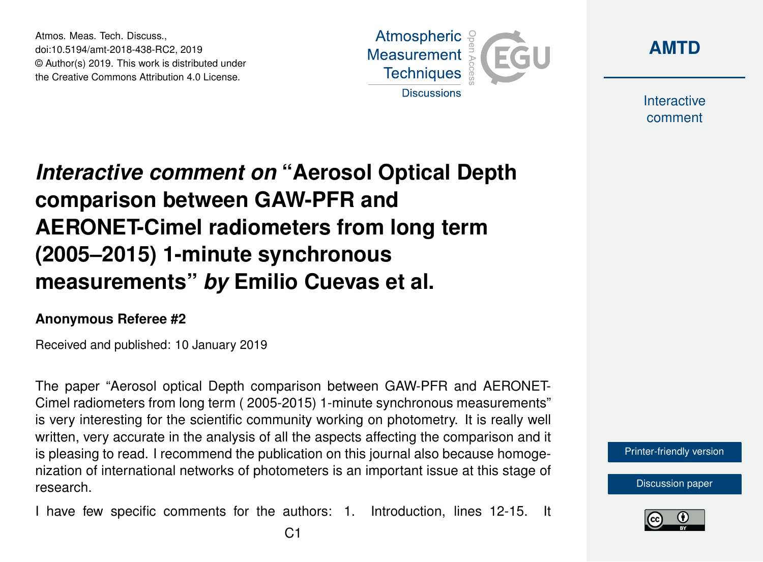Atmos. Meas. Tech. Discuss., doi:10.5194/amt-2018-438-RC2, 2019 © Author(s) 2019. This work is distributed under the Creative Commons Attribution 4.0 License.





Interactive comment

## *Interactive comment on* **"Aerosol Optical Depth comparison between GAW-PFR and AERONET-Cimel radiometers from long term (2005–2015) 1-minute synchronous measurements"** *by* **Emilio Cuevas et al.**

## **Anonymous Referee #2**

Received and published: 10 January 2019

The paper "Aerosol optical Depth comparison between GAW-PFR and AERONET-Cimel radiometers from long term ( 2005-2015) 1-minute synchronous measurements" is very interesting for the scientific community working on photometry. It is really well written, very accurate in the analysis of all the aspects affecting the comparison and it is pleasing to read. I recommend the publication on this journal also because homogenization of international networks of photometers is an important issue at this stage of research.

I have few specific comments for the authors: 1. Introduction, lines 12-15. It



[Discussion paper](https://www.atmos-meas-tech-discuss.net/amt-2018-438)

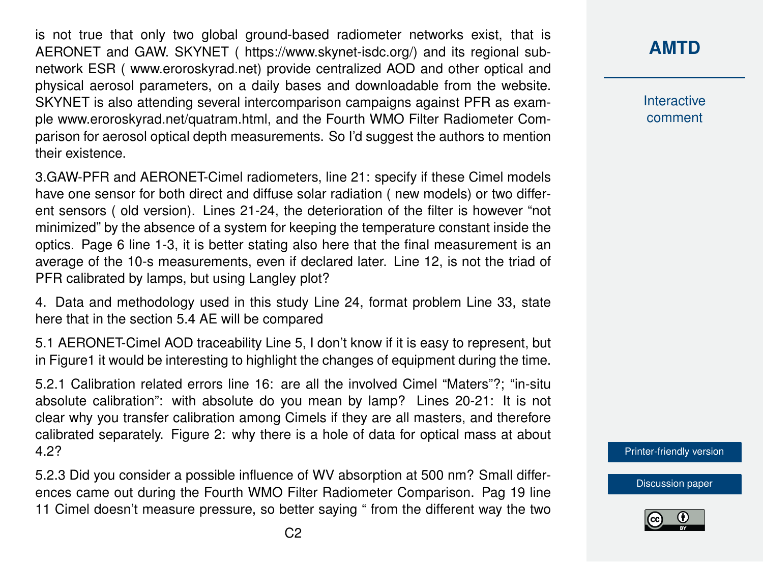is not true that only two global ground-based radiometer networks exist, that is AERONET and GAW. SKYNET ( https://www.skynet-isdc.org/) and its regional subnetwork ESR ( www.eroroskyrad.net) provide centralized AOD and other optical and physical aerosol parameters, on a daily bases and downloadable from the website. SKYNET is also attending several intercomparison campaigns against PFR as example www.eroroskyrad.net/quatram.html, and the Fourth WMO Filter Radiometer Comparison for aerosol optical depth measurements. So I'd suggest the authors to mention their existence.

3.GAW-PFR and AERONET-Cimel radiometers, line 21: specify if these Cimel models have one sensor for both direct and diffuse solar radiation ( new models) or two different sensors ( old version). Lines 21-24, the deterioration of the filter is however "not minimized" by the absence of a system for keeping the temperature constant inside the optics. Page 6 line 1-3, it is better stating also here that the final measurement is an average of the 10-s measurements, even if declared later. Line 12, is not the triad of PFR calibrated by lamps, but using Langley plot?

4. Data and methodology used in this study Line 24, format problem Line 33, state here that in the section 5.4 AE will be compared

5.1 AERONET-Cimel AOD traceability Line 5, I don't know if it is easy to represent, but in Figure1 it would be interesting to highlight the changes of equipment during the time.

5.2.1 Calibration related errors line 16: are all the involved Cimel "Maters"?; "in-situ absolute calibration": with absolute do you mean by lamp? Lines 20-21: It is not clear why you transfer calibration among Cimels if they are all masters, and therefore calibrated separately. Figure 2: why there is a hole of data for optical mass at about 4.2?

5.2.3 Did you consider a possible influence of WV absorption at 500 nm? Small differences came out during the Fourth WMO Filter Radiometer Comparison. Pag 19 line 11 Cimel doesn't measure pressure, so better saying " from the different way the two Interactive comment

[Printer-friendly version](https://www.atmos-meas-tech-discuss.net/amt-2018-438/amt-2018-438-RC2-print.pdf)

[Discussion paper](https://www.atmos-meas-tech-discuss.net/amt-2018-438)